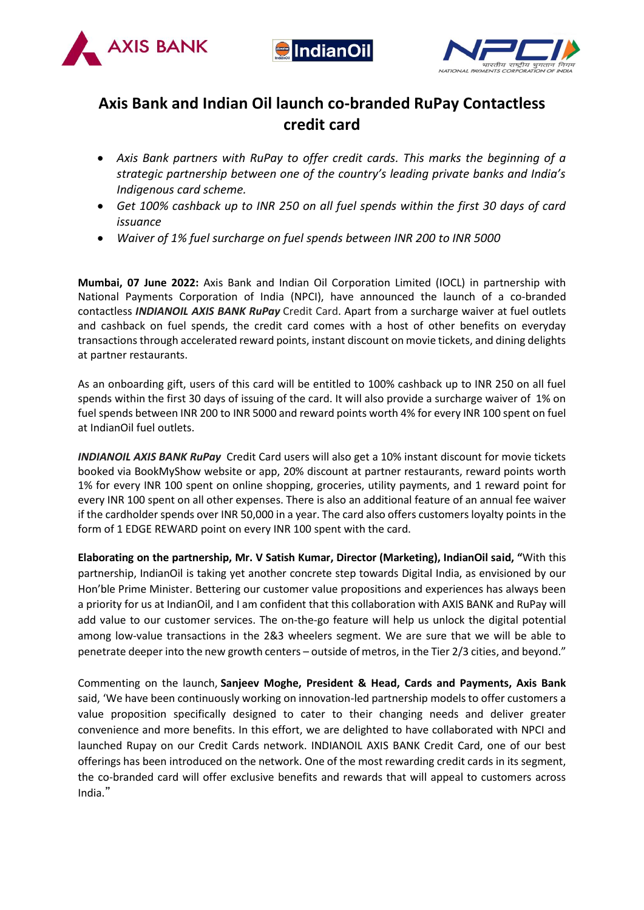





# **Axis Bank and Indian Oil launch co-branded RuPay Contactless credit card**

- *Axis Bank partners with RuPay to offer credit cards. This marks the beginning of a strategic partnership between one of the country's leading private banks and India's Indigenous card scheme.*
- *Get 100% cashback up to INR 250 on all fuel spends within the first 30 days of card issuance*
- *Waiver of 1% fuel surcharge on fuel spends between INR 200 to INR 5000*

**Mumbai, 07 June 2022:** Axis Bank and Indian Oil Corporation Limited (IOCL) in partnership with National Payments Corporation of India (NPCI), have announced the launch of a co-branded contactless *INDIANOIL AXIS BANK RuPay* Credit Card. Apart from a surcharge waiver at fuel outlets and cashback on fuel spends, the credit card comes with a host of other benefits on everyday transactions through accelerated reward points, instant discount on movie tickets, and dining delights at partner restaurants.

As an onboarding gift, users of this card will be entitled to 100% cashback up to INR 250 on all fuel spends within the first 30 days of issuing of the card. It will also provide a surcharge waiver of 1% on fuel spends between INR 200 to INR 5000 and reward points worth 4% for every INR 100 spent on fuel at IndianOil fuel outlets.

*INDIANOIL AXIS BANK RuPay* Credit Card users will also get a 10% instant discount for movie tickets booked via BookMyShow website or app, 20% discount at partner restaurants, reward points worth 1% for every INR 100 spent on online shopping, groceries, utility payments, and 1 reward point for every INR 100 spent on all other expenses. There is also an additional feature of an annual fee waiver if the cardholder spends over INR 50,000 in a year. The card also offers customers loyalty points in the form of 1 EDGE REWARD point on every INR 100 spent with the card.

**Elaborating on the partnership, Mr. V Satish Kumar, Director (Marketing), IndianOil said, "**With this partnership, IndianOil is taking yet another concrete step towards Digital India, as envisioned by our Hon'ble Prime Minister. Bettering our customer value propositions and experiences has always been a priority for us at IndianOil, and I am confident that this collaboration with AXIS BANK and RuPay will add value to our customer services. The on-the-go feature will help us unlock the digital potential among low-value transactions in the 2&3 wheelers segment. We are sure that we will be able to penetrate deeper into the new growth centers – outside of metros, in the Tier 2/3 cities, and beyond."

Commenting on the launch, **Sanjeev Moghe, President & Head, Cards and Payments, Axis Bank** said, 'We have been continuously working on innovation-led partnership models to offer customers a value proposition specifically designed to cater to their changing needs and deliver greater convenience and more benefits. In this effort, we are delighted to have collaborated with NPCI and launched Rupay on our Credit Cards network. INDIANOIL AXIS BANK Credit Card, one of our best offerings has been introduced on the network. One of the most rewarding credit cards in its segment, the co-branded card will offer exclusive benefits and rewards that will appeal to customers across India."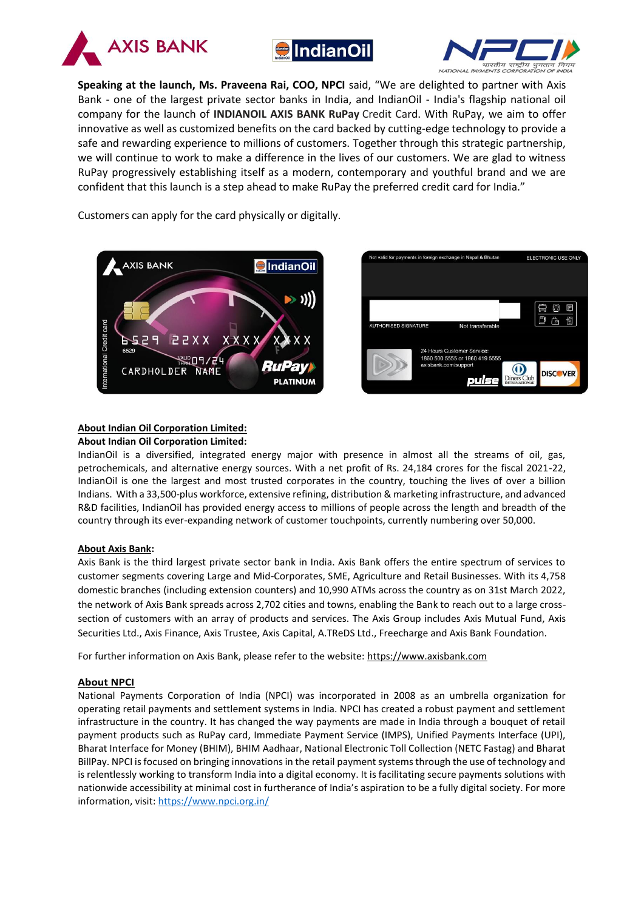





**Speaking at the launch, Ms. Praveena Rai, COO, NPCI** said, "We are delighted to partner with Axis Bank - one of the largest private sector banks in India, and IndianOil - India's flagship national oil company for the launch of **INDIANOIL AXIS BANK RuPay** Credit Card. With RuPay, we aim to offer innovative as well as customized benefits on the card backed by cutting-edge technology to provide a safe and rewarding experience to millions of customers. Together through this strategic partnership, we will continue to work to make a difference in the lives of our customers. We are glad to witness RuPay progressively establishing itself as a modern, contemporary and youthful brand and we are confident that this launch is a step ahead to make RuPay the preferred credit card for India."

Customers can apply for the card physically or digitally.





## **About Indian Oil Corporation Limited:**

#### **About Indian Oil Corporation Limited:**

IndianOil is a diversified, integrated energy major with presence in almost all the streams of oil, gas, petrochemicals, and alternative energy sources. With a net profit of Rs. 24,184 crores for the fiscal 2021-22, IndianOil is one the largest and most trusted corporates in the country, touching the lives of over a billion Indians. With a 33,500-plus workforce, extensive refining, distribution & marketing infrastructure, and advanced R&D facilities, IndianOil has provided energy access to millions of people across the length and breadth of the country through its ever-expanding network of customer touchpoints, currently numbering over 50,000.

## **About Axis Bank:**

Axis Bank is the third largest private sector bank in India. Axis Bank offers the entire spectrum of services to customer segments covering Large and Mid-Corporates, SME, Agriculture and Retail Businesses. With its 4,758 domestic branches (including extension counters) and 10,990 ATMs across the country as on 31st March 2022, the network of Axis Bank spreads across 2,702 cities and towns, enabling the Bank to reach out to a large crosssection of customers with an array of products and services. The Axis Group includes Axis Mutual Fund, Axis Securities Ltd., Axis Finance, Axis Trustee, Axis Capital, A.TReDS Ltd., Freecharge and Axis Bank Foundation.

For further information on Axis Bank, please refer to the website[: https://www.axisbank.com](https://www.axisbank.com/)

## **About NPCI**

National Payments Corporation of India (NPCI) was incorporated in 2008 as an umbrella organization for operating retail payments and settlement systems in India. NPCI has created a robust payment and settlement infrastructure in the country. It has changed the way payments are made in India through a bouquet of retail payment products such as RuPay card, Immediate Payment Service (IMPS), Unified Payments Interface (UPI), Bharat Interface for Money (BHIM), BHIM Aadhaar, National Electronic Toll Collection (NETC Fastag) and Bharat BillPay. NPCI is focused on bringing innovations in the retail payment systems through the use of technology and is relentlessly working to transform India into a digital economy. It is facilitating secure payments solutions with nationwide accessibility at minimal cost in furtherance of India's aspiration to be a fully digital society. For more information, visit:<https://www.npci.org.in/>